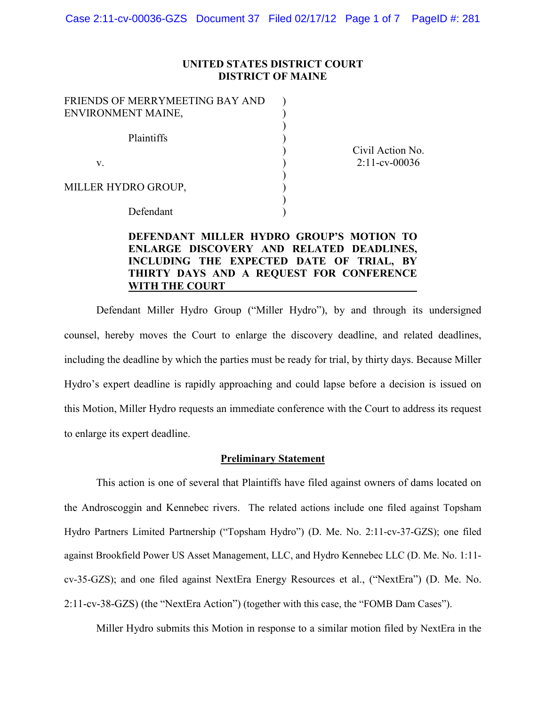### **UNITED STATES DISTRICT COURT DISTRICT OF MAINE**

| FRIENDS OF MERRYMEETING BAY AND |  |
|---------------------------------|--|
| ENVIRONMENT MAINE,              |  |
|                                 |  |
| Plaintiffs                      |  |
|                                 |  |
| V                               |  |
|                                 |  |
| MILLER HYDRO GROUP,             |  |
|                                 |  |
| Defendant                       |  |

Civil Action No. 2:11-cv-00036

## **DEFENDANT MILLER HYDRO GROUP'S MOTION TO ENLARGE DISCOVERY AND RELATED DEADLINES, INCLUDING THE EXPECTED DATE OF TRIAL, BY THIRTY DAYS AND A REQUEST FOR CONFERENCE WITH THE COURT**

Defendant Miller Hydro Group ("Miller Hydro"), by and through its undersigned counsel, hereby moves the Court to enlarge the discovery deadline, and related deadlines, including the deadline by which the parties must be ready for trial, by thirty days. Because Miller Hydro's expert deadline is rapidly approaching and could lapse before a decision is issued on this Motion, Miller Hydro requests an immediate conference with the Court to address its request to enlarge its expert deadline.

### **Preliminary Statement**

This action is one of several that Plaintiffs have filed against owners of dams located on the Androscoggin and Kennebec rivers. The related actions include one filed against Topsham Hydro Partners Limited Partnership ("Topsham Hydro") (D. Me. No. 2:11-cv-37-GZS); one filed against Brookfield Power US Asset Management, LLC, and Hydro Kennebec LLC (D. Me. No. 1:11 cv-35-GZS); and one filed against NextEra Energy Resources et al., ("NextEra") (D. Me. No. 2:11-cv-38-GZS) (the "NextEra Action") (together with this case, the "FOMB Dam Cases").

Miller Hydro submits this Motion in response to a similar motion filed by NextEra in the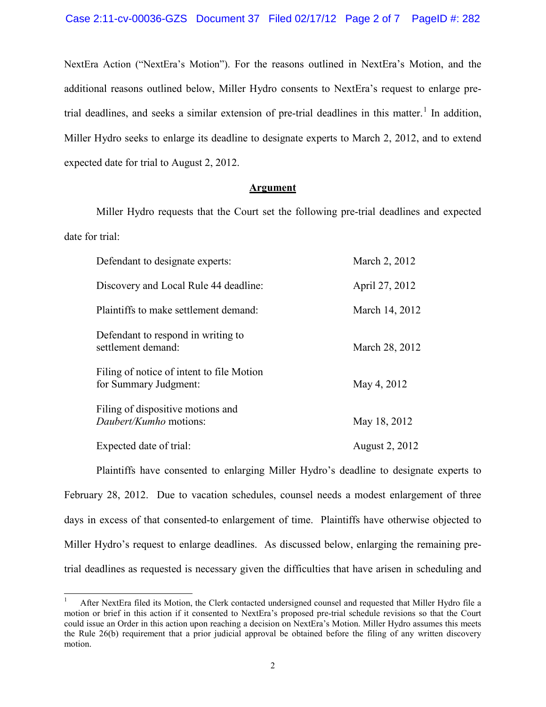NextEra Action ("NextEra's Motion"). For the reasons outlined in NextEra's Motion, and the additional reasons outlined below, Miller Hydro consents to NextEra's request to enlarge pretrial deadlines, and seeks a similar extension of pre-trial deadlines in this matter.<sup>1</sup> In addition, Miller Hydro seeks to enlarge its deadline to designate experts to March 2, 2012, and to extend expected date for trial to August 2, 2012.

#### **Argument**

Miller Hydro requests that the Court set the following pre-trial deadlines and expected date for trial:

| Defendant to designate experts:                                    | March 2, 2012         |
|--------------------------------------------------------------------|-----------------------|
| Discovery and Local Rule 44 deadline:                              | April 27, 2012        |
| Plaintiffs to make settlement demand:                              | March 14, 2012        |
| Defendant to respond in writing to<br>settlement demand:           | March 28, 2012        |
| Filing of notice of intent to file Motion<br>for Summary Judgment: | May 4, 2012           |
| Filing of dispositive motions and<br><i>Daubert/Kumho</i> motions: | May 18, 2012          |
| Expected date of trial:                                            | <b>August 2, 2012</b> |

Plaintiffs have consented to enlarging Miller Hydro's deadline to designate experts to February 28, 2012. Due to vacation schedules, counsel needs a modest enlargement of three days in excess of that consented-to enlargement of time. Plaintiffs have otherwise objected to Miller Hydro's request to enlarge deadlines. As discussed below, enlarging the remaining pretrial deadlines as requested is necessary given the difficulties that have arisen in scheduling and

 <sup>1</sup> After NextEra filed its Motion, the Clerk contacted undersigned counsel and requested that Miller Hydro file a motion or brief in this action if it consented to NextEra's proposed pre-trial schedule revisions so that the Court could issue an Order in this action upon reaching a decision on NextEra's Motion. Miller Hydro assumes this meets the Rule 26(b) requirement that a prior judicial approval be obtained before the filing of any written discovery motion.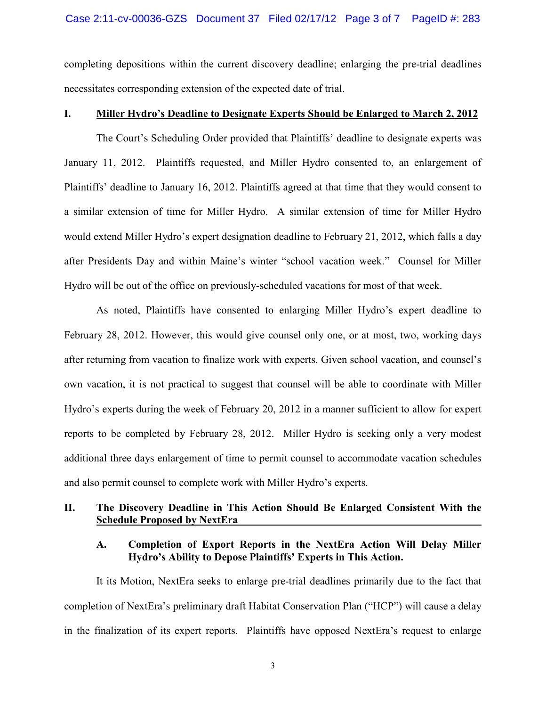completing depositions within the current discovery deadline; enlarging the pre-trial deadlines necessitates corresponding extension of the expected date of trial.

### **I. Miller Hydro's Deadline to Designate Experts Should be Enlarged to March 2, 2012**

The Court's Scheduling Order provided that Plaintiffs' deadline to designate experts was January 11, 2012. Plaintiffs requested, and Miller Hydro consented to, an enlargement of Plaintiffs' deadline to January 16, 2012. Plaintiffs agreed at that time that they would consent to a similar extension of time for Miller Hydro. A similar extension of time for Miller Hydro would extend Miller Hydro's expert designation deadline to February 21, 2012, which falls a day after Presidents Day and within Maine's winter "school vacation week." Counsel for Miller Hydro will be out of the office on previously-scheduled vacations for most of that week.

As noted, Plaintiffs have consented to enlarging Miller Hydro's expert deadline to February 28, 2012. However, this would give counsel only one, or at most, two, working days after returning from vacation to finalize work with experts. Given school vacation, and counsel's own vacation, it is not practical to suggest that counsel will be able to coordinate with Miller Hydro's experts during the week of February 20, 2012 in a manner sufficient to allow for expert reports to be completed by February 28, 2012. Miller Hydro is seeking only a very modest additional three days enlargement of time to permit counsel to accommodate vacation schedules and also permit counsel to complete work with Miller Hydro's experts.

## **II. The Discovery Deadline in This Action Should Be Enlarged Consistent With the Schedule Proposed by NextEra**

## **A. Completion of Export Reports in the NextEra Action Will Delay Miller Hydro's Ability to Depose Plaintiffs' Experts in This Action.**

It its Motion, NextEra seeks to enlarge pre-trial deadlines primarily due to the fact that completion of NextEra's preliminary draft Habitat Conservation Plan ("HCP") will cause a delay in the finalization of its expert reports. Plaintiffs have opposed NextEra's request to enlarge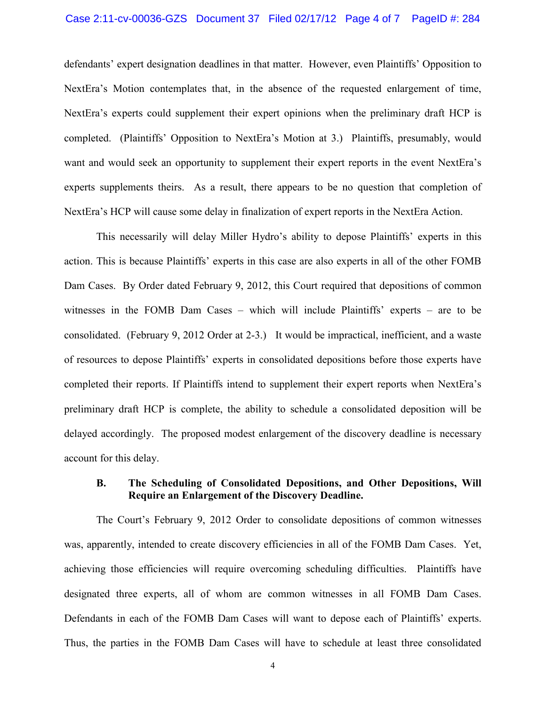#### Case 2:11-cv-00036-GZS Document 37 Filed 02/17/12 Page 4 of 7 PageID #: 284

defendants' expert designation deadlines in that matter. However, even Plaintiffs' Opposition to NextEra's Motion contemplates that, in the absence of the requested enlargement of time, NextEra's experts could supplement their expert opinions when the preliminary draft HCP is completed. (Plaintiffs' Opposition to NextEra's Motion at 3.) Plaintiffs, presumably, would want and would seek an opportunity to supplement their expert reports in the event NextEra's experts supplements theirs. As a result, there appears to be no question that completion of NextEra's HCP will cause some delay in finalization of expert reports in the NextEra Action.

This necessarily will delay Miller Hydro's ability to depose Plaintiffs' experts in this action. This is because Plaintiffs' experts in this case are also experts in all of the other FOMB Dam Cases. By Order dated February 9, 2012, this Court required that depositions of common witnesses in the FOMB Dam Cases – which will include Plaintiffs' experts – are to be consolidated. (February 9, 2012 Order at 2-3.) It would be impractical, inefficient, and a waste of resources to depose Plaintiffs' experts in consolidated depositions before those experts have completed their reports. If Plaintiffs intend to supplement their expert reports when NextEra's preliminary draft HCP is complete, the ability to schedule a consolidated deposition will be delayed accordingly. The proposed modest enlargement of the discovery deadline is necessary account for this delay.

### **B. The Scheduling of Consolidated Depositions, and Other Depositions, Will Require an Enlargement of the Discovery Deadline.**

The Court's February 9, 2012 Order to consolidate depositions of common witnesses was, apparently, intended to create discovery efficiencies in all of the FOMB Dam Cases. Yet, achieving those efficiencies will require overcoming scheduling difficulties. Plaintiffs have designated three experts, all of whom are common witnesses in all FOMB Dam Cases. Defendants in each of the FOMB Dam Cases will want to depose each of Plaintiffs' experts. Thus, the parties in the FOMB Dam Cases will have to schedule at least three consolidated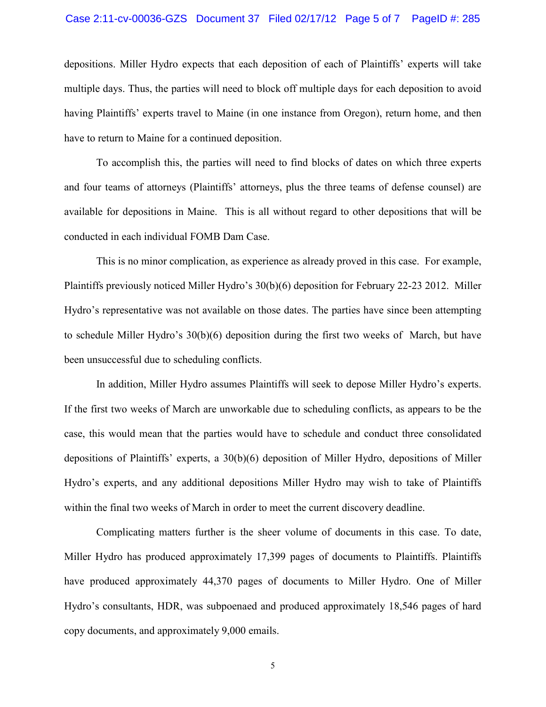#### Case 2:11-cv-00036-GZS Document 37 Filed 02/17/12 Page 5 of 7 PageID #: 285

depositions. Miller Hydro expects that each deposition of each of Plaintiffs' experts will take multiple days. Thus, the parties will need to block off multiple days for each deposition to avoid having Plaintiffs' experts travel to Maine (in one instance from Oregon), return home, and then have to return to Maine for a continued deposition.

To accomplish this, the parties will need to find blocks of dates on which three experts and four teams of attorneys (Plaintiffs' attorneys, plus the three teams of defense counsel) are available for depositions in Maine. This is all without regard to other depositions that will be conducted in each individual FOMB Dam Case.

This is no minor complication, as experience as already proved in this case. For example, Plaintiffs previously noticed Miller Hydro's 30(b)(6) deposition for February 22-23 2012. Miller Hydro's representative was not available on those dates. The parties have since been attempting to schedule Miller Hydro's 30(b)(6) deposition during the first two weeks of March, but have been unsuccessful due to scheduling conflicts.

In addition, Miller Hydro assumes Plaintiffs will seek to depose Miller Hydro's experts. If the first two weeks of March are unworkable due to scheduling conflicts, as appears to be the case, this would mean that the parties would have to schedule and conduct three consolidated depositions of Plaintiffs' experts, a 30(b)(6) deposition of Miller Hydro, depositions of Miller Hydro's experts, and any additional depositions Miller Hydro may wish to take of Plaintiffs within the final two weeks of March in order to meet the current discovery deadline.

Complicating matters further is the sheer volume of documents in this case. To date, Miller Hydro has produced approximately 17,399 pages of documents to Plaintiffs. Plaintiffs have produced approximately 44,370 pages of documents to Miller Hydro. One of Miller Hydro's consultants, HDR, was subpoenaed and produced approximately 18,546 pages of hard copy documents, and approximately 9,000 emails.

5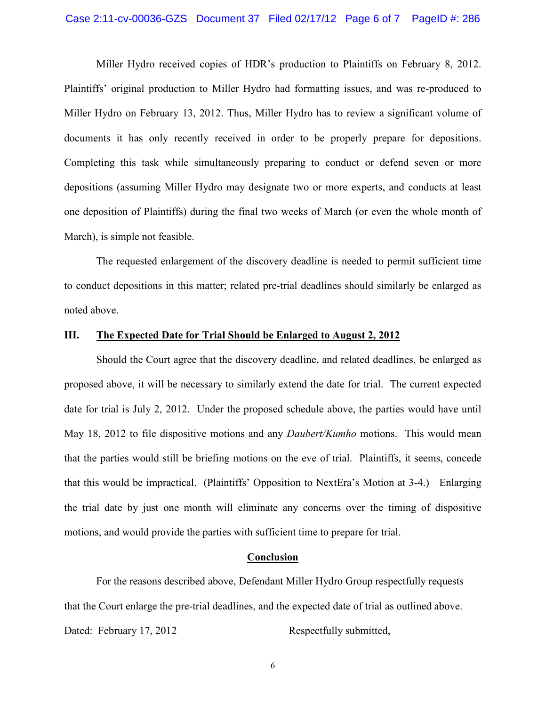Miller Hydro received copies of HDR's production to Plaintiffs on February 8, 2012. Plaintiffs' original production to Miller Hydro had formatting issues, and was re-produced to Miller Hydro on February 13, 2012. Thus, Miller Hydro has to review a significant volume of documents it has only recently received in order to be properly prepare for depositions. Completing this task while simultaneously preparing to conduct or defend seven or more depositions (assuming Miller Hydro may designate two or more experts, and conducts at least one deposition of Plaintiffs) during the final two weeks of March (or even the whole month of March), is simple not feasible.

The requested enlargement of the discovery deadline is needed to permit sufficient time to conduct depositions in this matter; related pre-trial deadlines should similarly be enlarged as noted above.

#### **III. The Expected Date for Trial Should be Enlarged to August 2, 2012**

Should the Court agree that the discovery deadline, and related deadlines, be enlarged as proposed above, it will be necessary to similarly extend the date for trial. The current expected date for trial is July 2, 2012. Under the proposed schedule above, the parties would have until May 18, 2012 to file dispositive motions and any *Daubert/Kumho* motions. This would mean that the parties would still be briefing motions on the eve of trial. Plaintiffs, it seems, concede that this would be impractical. (Plaintiffs' Opposition to NextEra's Motion at 3-4.) Enlarging the trial date by just one month will eliminate any concerns over the timing of dispositive motions, and would provide the parties with sufficient time to prepare for trial.

### **Conclusion**

For the reasons described above, Defendant Miller Hydro Group respectfully requests that the Court enlarge the pre-trial deadlines, and the expected date of trial as outlined above. Dated: February 17, 2012 Respectfully submitted,

6